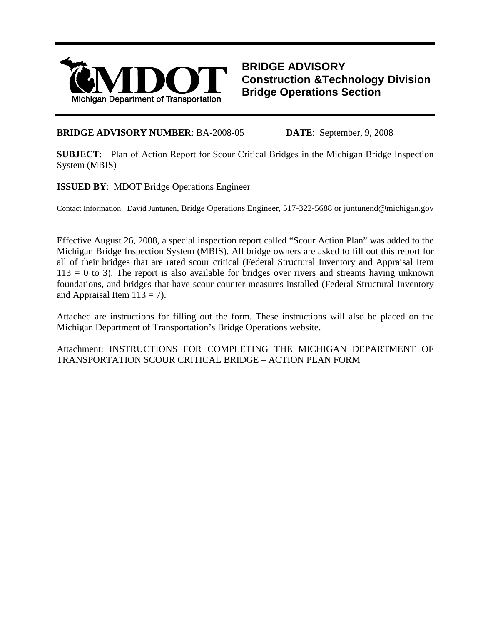

**BRIDGE ADVISORY Construction &Technology Division Bridge Operations Section**

# **BRIDGE ADVISORY NUMBER**: BA-2008-05 **DATE**: September, 9, 2008

**SUBJECT**: Plan of Action Report for Scour Critical Bridges in the Michigan Bridge Inspection System (MBIS)

**ISSUED BY**: MDOT Bridge Operations Engineer

 $\overline{a}$ 

Contact Information: David Juntunen, Bridge Operations Engineer, 517-322-5688 or juntunend@michigan.gov

Effective August 26, 2008, a special inspection report called "Scour Action Plan" was added to the Michigan Bridge Inspection System (MBIS). All bridge owners are asked to fill out this report for all of their bridges that are rated scour critical (Federal Structural Inventory and Appraisal Item  $113 = 0$  to 3). The report is also available for bridges over rivers and streams having unknown foundations, and bridges that have scour counter measures installed (Federal Structural Inventory and Appraisal Item  $113 = 7$ ).

Attached are instructions for filling out the form. These instructions will also be placed on the Michigan Department of Transportation's Bridge Operations website.

Attachment: INSTRUCTIONS FOR COMPLETING THE MICHIGAN DEPARTMENT OF TRANSPORTATION SCOUR CRITICAL BRIDGE – ACTION PLAN FORM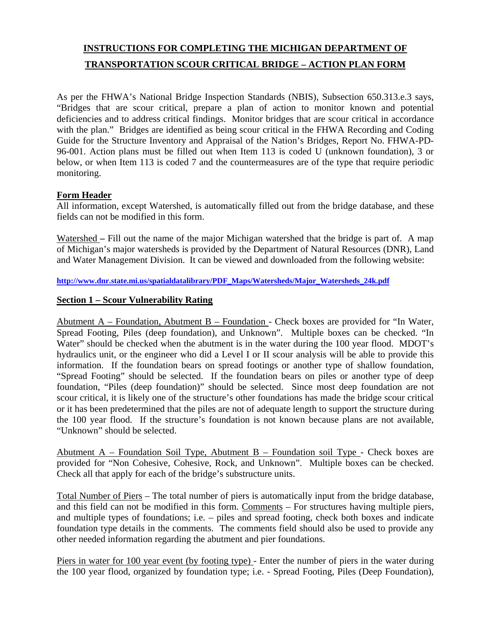# **INSTRUCTIONS FOR COMPLETING THE MICHIGAN DEPARTMENT OF TRANSPORTATION SCOUR CRITICAL BRIDGE – ACTION PLAN FORM**

As per the FHWA's National Bridge Inspection Standards (NBIS), Subsection 650.313.e.3 says, "Bridges that are scour critical, prepare a plan of action to monitor known and potential deficiencies and to address critical findings. Monitor bridges that are scour critical in accordance with the plan." Bridges are identified as being scour critical in the FHWA Recording and Coding Guide for the Structure Inventory and Appraisal of the Nation's Bridges, Report No. FHWA-PD-96-001. Action plans must be filled out when Item 113 is coded U (unknown foundation), 3 or below, or when Item 113 is coded 7 and the countermeasures are of the type that require periodic monitoring.

# **Form Header**

All information, except Watershed, is automatically filled out from the bridge database, and these fields can not be modified in this form.

Watershed – Fill out the name of the major Michigan watershed that the bridge is part of. A map of Michigan's major watersheds is provided by the Department of Natural Resources (DNR), Land and Water Management Division. It can be viewed and downloaded from the following website:

**http://www.dnr.state.mi.us/spatialdatalibrary/PDF\_Maps/Watersheds/Major\_Watersheds\_24k.pdf**

### **Section 1 – Scour Vulnerability Rating**

Abutment  $A$  – Foundation, Abutment B – Foundation - Check boxes are provided for "In Water, Spread Footing, Piles (deep foundation), and Unknown". Multiple boxes can be checked. "In Water" should be checked when the abutment is in the water during the 100 year flood. MDOT's hydraulics unit, or the engineer who did a Level I or II scour analysis will be able to provide this information. If the foundation bears on spread footings or another type of shallow foundation, "Spread Footing" should be selected. If the foundation bears on piles or another type of deep foundation, "Piles (deep foundation)" should be selected. Since most deep foundation are not scour critical, it is likely one of the structure's other foundations has made the bridge scour critical or it has been predetermined that the piles are not of adequate length to support the structure during the 100 year flood. If the structure's foundation is not known because plans are not available, "Unknown" should be selected.

Abutment A – Foundation Soil Type, Abutment B – Foundation soil Type - Check boxes are provided for "Non Cohesive, Cohesive, Rock, and Unknown". Multiple boxes can be checked. Check all that apply for each of the bridge's substructure units.

Total Number of Piers – The total number of piers is automatically input from the bridge database, and this field can not be modified in this form. Comments – For structures having multiple piers, and multiple types of foundations; i.e. – piles and spread footing, check both boxes and indicate foundation type details in the comments. The comments field should also be used to provide any other needed information regarding the abutment and pier foundations.

Piers in water for 100 year event (by footing type) - Enter the number of piers in the water during the 100 year flood, organized by foundation type; i.e. - Spread Footing, Piles (Deep Foundation),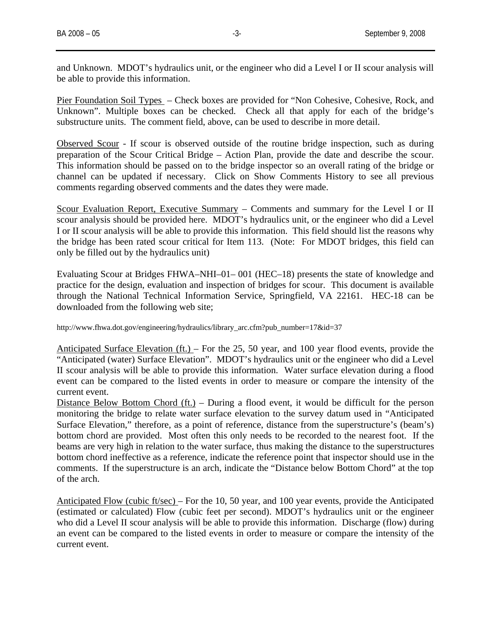and Unknown. MDOT's hydraulics unit, or the engineer who did a Level I or II scour analysis will be able to provide this information.

Pier Foundation Soil Types – Check boxes are provided for "Non Cohesive, Cohesive, Rock, and Unknown". Multiple boxes can be checked. Check all that apply for each of the bridge's substructure units. The comment field, above, can be used to describe in more detail.

Observed Scour - If scour is observed outside of the routine bridge inspection, such as during preparation of the Scour Critical Bridge – Action Plan, provide the date and describe the scour. This information should be passed on to the bridge inspector so an overall rating of the bridge or channel can be updated if necessary. Click on Show Comments History to see all previous comments regarding observed comments and the dates they were made.

Scour Evaluation Report, Executive Summary – Comments and summary for the Level I or II scour analysis should be provided here. MDOT's hydraulics unit, or the engineer who did a Level I or II scour analysis will be able to provide this information. This field should list the reasons why the bridge has been rated scour critical for Item 113. (Note: For MDOT bridges, this field can only be filled out by the hydraulics unit)

Evaluating Scour at Bridges FHWA–NHI–01– 001 (HEC–18) presents the state of knowledge and practice for the design, evaluation and inspection of bridges for scour. This document is available through the National Technical Information Service, Springfield, VA 22161. HEC-18 can be downloaded from the following web site;

http://www.fhwa.dot.gov/engineering/hydraulics/library\_arc.cfm?pub\_number=17&id=37

Anticipated Surface Elevation (ft.) – For the 25, 50 year, and 100 year flood events, provide the "Anticipated (water) Surface Elevation". MDOT's hydraulics unit or the engineer who did a Level II scour analysis will be able to provide this information. Water surface elevation during a flood event can be compared to the listed events in order to measure or compare the intensity of the current event.

Distance Below Bottom Chord (ft.) – During a flood event, it would be difficult for the person monitoring the bridge to relate water surface elevation to the survey datum used in "Anticipated Surface Elevation," therefore, as a point of reference, distance from the superstructure's (beam's) bottom chord are provided. Most often this only needs to be recorded to the nearest foot. If the beams are very high in relation to the water surface, thus making the distance to the superstructures bottom chord ineffective as a reference, indicate the reference point that inspector should use in the comments. If the superstructure is an arch, indicate the "Distance below Bottom Chord" at the top of the arch.

Anticipated Flow (cubic ft/sec) – For the 10, 50 year, and 100 year events, provide the Anticipated (estimated or calculated) Flow (cubic feet per second). MDOT's hydraulics unit or the engineer who did a Level II scour analysis will be able to provide this information. Discharge (flow) during an event can be compared to the listed events in order to measure or compare the intensity of the current event.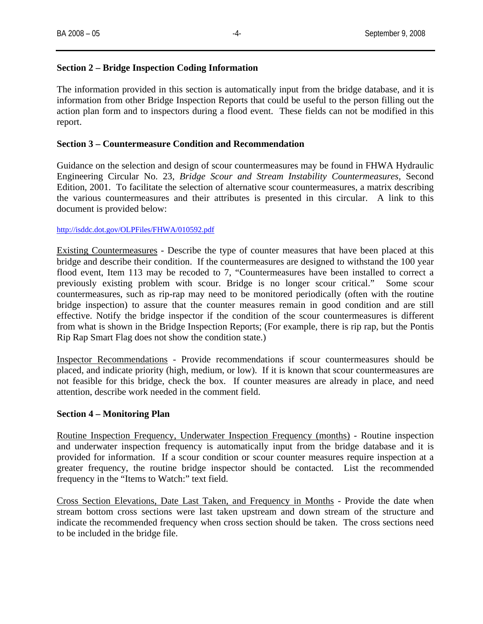## **Section 2 – Bridge Inspection Coding Information**

The information provided in this section is automatically input from the bridge database, and it is information from other Bridge Inspection Reports that could be useful to the person filling out the action plan form and to inspectors during a flood event. These fields can not be modified in this report.

### **Section 3 – Countermeasure Condition and Recommendation**

Guidance on the selection and design of scour countermeasures may be found in FHWA Hydraulic Engineering Circular No. 23, *Bridge Scour and Stream Instability Countermeasures,* Second Edition, 2001. To facilitate the selection of alternative scour countermeasures, a matrix describing the various countermeasures and their attributes is presented in this circular. A link to this document is provided below:

#### http://isddc.dot.gov/OLPFiles/FHWA/010592.pdf

Existing Countermeasures - Describe the type of counter measures that have been placed at this bridge and describe their condition. If the countermeasures are designed to withstand the 100 year flood event, Item 113 may be recoded to 7, "Countermeasures have been installed to correct a previously existing problem with scour. Bridge is no longer scour critical." Some scour countermeasures, such as rip-rap may need to be monitored periodically (often with the routine bridge inspection) to assure that the counter measures remain in good condition and are still effective. Notify the bridge inspector if the condition of the scour countermeasures is different from what is shown in the Bridge Inspection Reports; (For example, there is rip rap, but the Pontis Rip Rap Smart Flag does not show the condition state.)

Inspector Recommendations - Provide recommendations if scour countermeasures should be placed, and indicate priority (high, medium, or low). If it is known that scour countermeasures are not feasible for this bridge, check the box. If counter measures are already in place, and need attention, describe work needed in the comment field.

### **Section 4 – Monitoring Plan**

Routine Inspection Frequency, Underwater Inspection Frequency (months) - Routine inspection and underwater inspection frequency is automatically input from the bridge database and it is provided for information. If a scour condition or scour counter measures require inspection at a greater frequency, the routine bridge inspector should be contacted. List the recommended frequency in the "Items to Watch:" text field.

Cross Section Elevations, Date Last Taken, and Frequency in Months - Provide the date when stream bottom cross sections were last taken upstream and down stream of the structure and indicate the recommended frequency when cross section should be taken. The cross sections need to be included in the bridge file.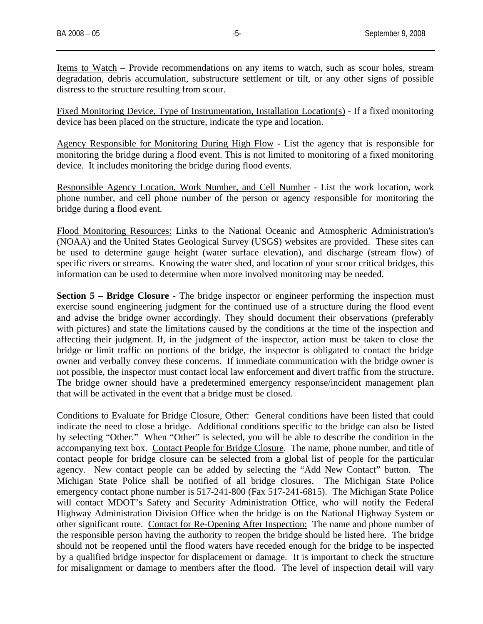Items to Watch – Provide recommendations on any items to watch, such as scour holes, stream degradation, debris accumulation, substructure settlement or tilt, or any other signs of possible distress to the structure resulting from scour.

Fixed Monitoring Device, Type of Instrumentation, Installation Location(s) - If a fixed monitoring device has been placed on the structure, indicate the type and location.

Agency Responsible for Monitoring During High Flow - List the agency that is responsible for monitoring the bridge during a flood event. This is not limited to monitoring of a fixed monitoring device. It includes monitoring the bridge during flood events.

Responsible Agency Location, Work Number, and Cell Number - List the work location, work phone number, and cell phone number of the person or agency responsible for monitoring the bridge during a flood event.

Flood Monitoring Resources: Links to the National Oceanic and Atmospheric Administration's (NOAA) and the United States Geological Survey (USGS) websites are provided. These sites can be used to determine gauge height (water surface elevation), and discharge (stream flow) of specific rivers or streams. Knowing the water shed, and location of your scour critical bridges, this information can be used to determine when more involved monitoring may be needed.

**Section 5 – Bridge Closure -** The bridge inspector or engineer performing the inspection must exercise sound engineering judgment for the continued use of a structure during the flood event and advise the bridge owner accordingly. They should document their observations (preferably with pictures) and state the limitations caused by the conditions at the time of the inspection and affecting their judgment. If, in the judgment of the inspector, action must be taken to close the bridge or limit traffic on portions of the bridge, the inspector is obligated to contact the bridge owner and verbally convey these concerns. If immediate communication with the bridge owner is not possible, the inspector must contact local law enforcement and divert traffic from the structure. The bridge owner should have a predetermined emergency response/incident management plan that will be activated in the event that a bridge must be closed.

Conditions to Evaluate for Bridge Closure, Other: General conditions have been listed that could indicate the need to close a bridge. Additional conditions specific to the bridge can also be listed by selecting "Other." When "Other" is selected, you will be able to describe the condition in the accompanying text box. Contact People for Bridge Closure. The name, phone number, and title of contact people for bridge closure can be selected from a global list of people for the particular agency. New contact people can be added by selecting the "Add New Contact" button. The Michigan State Police shall be notified of all bridge closures. The Michigan State Police emergency contact phone number is 517-241-800 (Fax 517-241-6815). The Michigan State Police will contact MDOT's Safety and Security Administration Office, who will notify the Federal Highway Administration Division Office when the bridge is on the National Highway System or other significant route. Contact for Re-Opening After Inspection: The name and phone number of the responsible person having the authority to reopen the bridge should be listed here. The bridge should not be reopened until the flood waters have receded enough for the bridge to be inspected by a qualified bridge inspector for displacement or damage. It is important to check the structure for misalignment or damage to members after the flood. The level of inspection detail will vary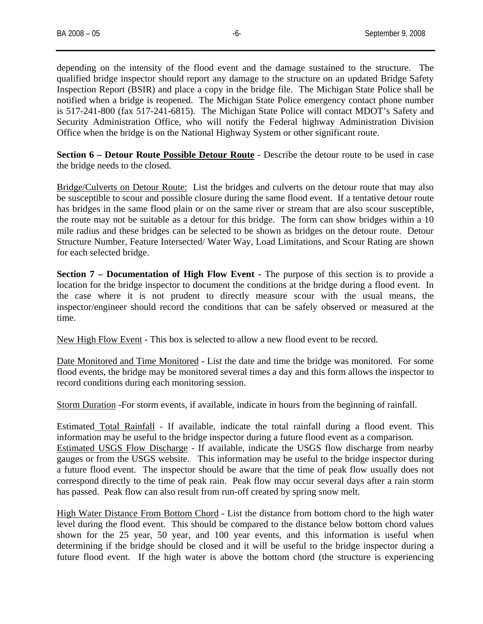depending on the intensity of the flood event and the damage sustained to the structure. The qualified bridge inspector should report any damage to the structure on an updated Bridge Safety Inspection Report (BSIR) and place a copy in the bridge file. The Michigan State Police shall be notified when a bridge is reopened. The Michigan State Police emergency contact phone number is 517-241-800 (fax 517-241-6815). The Michigan State Police will contact MDOT's Safety and Security Administration Office, who will notify the Federal highway Administration Division Office when the bridge is on the National Highway System or other significant route.

**Section 6 – Detour Route Possible Detour Route** - Describe the detour route to be used in case the bridge needs to the closed.

Bridge/Culverts on Detour Route: List the bridges and culverts on the detour route that may also be susceptible to scour and possible closure during the same flood event. If a tentative detour route has bridges in the same flood plain or on the same river or stream that are also scour susceptible, the route may not be suitable as a detour for this bridge. The form can show bridges within a 10 mile radius and these bridges can be selected to be shown as bridges on the detour route. Detour Structure Number, Feature Intersected/ Water Way, Load Limitations, and Scour Rating are shown for each selected bridge.

**Section 7 – Documentation of High Flow Event -** The purpose of this section is to provide a location for the bridge inspector to document the conditions at the bridge during a flood event. In the case where it is not prudent to directly measure scour with the usual means, the inspector/engineer should record the conditions that can be safely observed or measured at the time.

New High Flow Event - This box is selected to allow a new flood event to be record.

Date Monitored and Time Monitored - List the date and time the bridge was monitored. For some flood events, the bridge may be monitored several times a day and this form allows the inspector to record conditions during each monitoring session.

Storm Duration -For storm events, if available, indicate in hours from the beginning of rainfall.

Estimated Total Rainfall - If available, indicate the total rainfall during a flood event. This information may be useful to the bridge inspector during a future flood event as a comparison. Estimated USGS Flow Discharge - If available, indicate the USGS flow discharge from nearby gauges or from the USGS website. This information may be useful to the bridge inspector during a future flood event. The inspector should be aware that the time of peak flow usually does not correspond directly to the time of peak rain. Peak flow may occur several days after a rain storm has passed. Peak flow can also result from run-off created by spring snow melt.

High Water Distance From Bottom Chord - List the distance from bottom chord to the high water level during the flood event. This should be compared to the distance below bottom chord values shown for the 25 year, 50 year, and 100 year events, and this information is useful when determining if the bridge should be closed and it will be useful to the bridge inspector during a future flood event. If the high water is above the bottom chord (the structure is experiencing